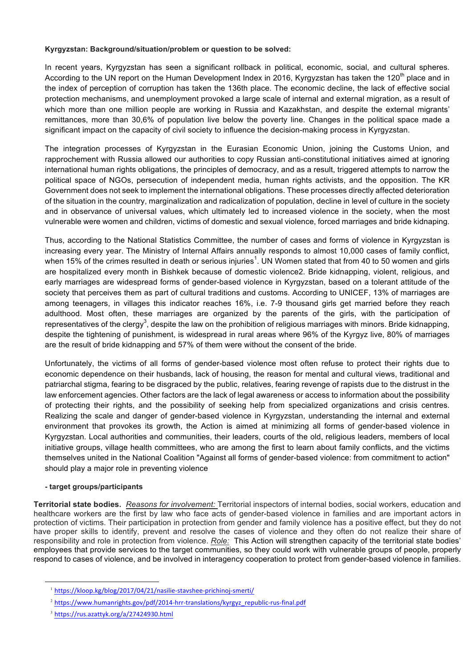## **Kyrgyzstan: Background/situation/problem or question to be solved:**

In recent years, Kyrgyzstan has seen a significant rollback in political, economic, social, and cultural spheres. According to the UN report on the Human Development Index in 2016, Kyrgyzstan has taken the 120<sup>th</sup> place and in the index of perception of corruption has taken the 136th place. The economic decline, the lack of effective social protection mechanisms, and unemployment provoked a large scale of internal and external migration, as a result of which more than one million people are working in Russia and Kazakhstan, and despite the external migrants' remittances, more than 30,6% of population live below the poverty line. Changes in the political space made a significant impact on the capacity of civil society to influence the decision-making process in Kyrgyzstan.

The integration processes of Kyrgyzstan in the Eurasian Economic Union, joining the Customs Union, and rapprochement with Russia allowed our authorities to copy Russian anti-constitutional initiatives aimed at ignoring international human rights obligations, the principles of democracy, and as a result, triggered attempts to narrow the political space of NGOs, persecution of independent media, human rights activists, and the opposition. The KR Government does not seek to implement the international obligations. These processes directly affected deterioration of the situation in the country, marginalization and radicalization of population, decline in level of culture in the society and in observance of universal values, which ultimately led to increased violence in the society, when the most vulnerable were women and children, victims of domestic and sexual violence, forced marriages and bride kidnaping.

Thus, according to the National Statistics Committee, the number of cases and forms of violence in Kyrgyzstan is increasing every year. The Ministry of Internal Affairs annually responds to almost 10,000 cases of family conflict, when 15% of the crimes resulted in death or serious injuries<sup>1</sup>. UN Women stated that from 40 to 50 women and girls are hospitalized every month in Bishkek because of domestic violence2. Bride kidnapping, violent, religious, and early marriages are widespread forms of gender-based violence in Kyrgyzstan, based on a tolerant attitude of the society that perceives them as part of cultural traditions and customs. According to UNICEF, 13% of marriages are among teenagers, in villages this indicator reaches 16%, i.е. 7-9 thousand girls get married before they reach adulthood. Most often, these marriages are organized by the parents of the girls, with the participation of representatives of the clergy $^3$ , despite the law on the prohibition of religious marriages with minors. Bride kidnapping, despite the tightening of punishment, is widespread in rural areas where 96% of the Kyrgyz live, 80% of marriages are the result of bride kidnapping and 57% of them were without the consent of the bride.

Unfortunately, the victims of all forms of gender-based violence most often refuse to protect their rights due to economic dependence on their husbands, lack of housing, the reason for mental and cultural views, traditional and patriarchal stigma, fearing to be disgraced by the public, relatives, fearing revenge of rapists due to the distrust in the law enforcement agencies. Other factors are the lack of legal awareness or access to information about the possibility of protecting their rights, and the possibility of seeking help from specialized organizations and crisis centres. Realizing the scale and danger of gender-based violence in Kyrgyzstan, understanding the internal and external environment that provokes its growth, the Action is aimed at minimizing all forms of gender-based violence in Kyrgyzstan. Local authorities and communities, their leaders, courts of the old, religious leaders, members of local initiative groups, village health committees, who are among the first to learn about family conflicts, and the victims themselves united in the National Coalition "Against all forms of gender-based violence: from commitment to action" should play a major role in preventing violence

# **- target groups/participants**

**Territorial state bodies.** *Reasons for involvement:* Territorial inspectors of internal bodies, social workers, education and healthcare workers are the first by law who face acts of gender-based violence in families and are important actors in protection of victims. Their participation in protection from gender and family violence has a positive effect, but they do not have proper skills to identify, prevent and resolve the cases of violence and they often do not realize their share of responsibility and role in protection from violence. *Role:* This Action will strengthen capacity of the territorial state bodies' employees that provide services to the target communities, so they could work with vulnerable groups of people, properly respond to cases of violence, and be involved in interagency cooperation to protect from gender-based violence in families.

<u> 1989 - Johann Barn, mars ann an t-Amhain an t-Amhain an t-Amhain an t-Amhain an t-Amhain an t-Amhain an t-Amh</u>

<sup>&</sup>lt;sup>1</sup> https://kloop.kg/blog/2017/04/21/nasilie-stavshee-prichinoj-smerti/

<sup>&</sup>lt;sup>2</sup> https://www.humanrights.gov/pdf/2014-hrr-translations/kyrgyz\_republic-rus-final.pdf

<sup>3</sup> https://rus.azattyk.org/a/27424930.html